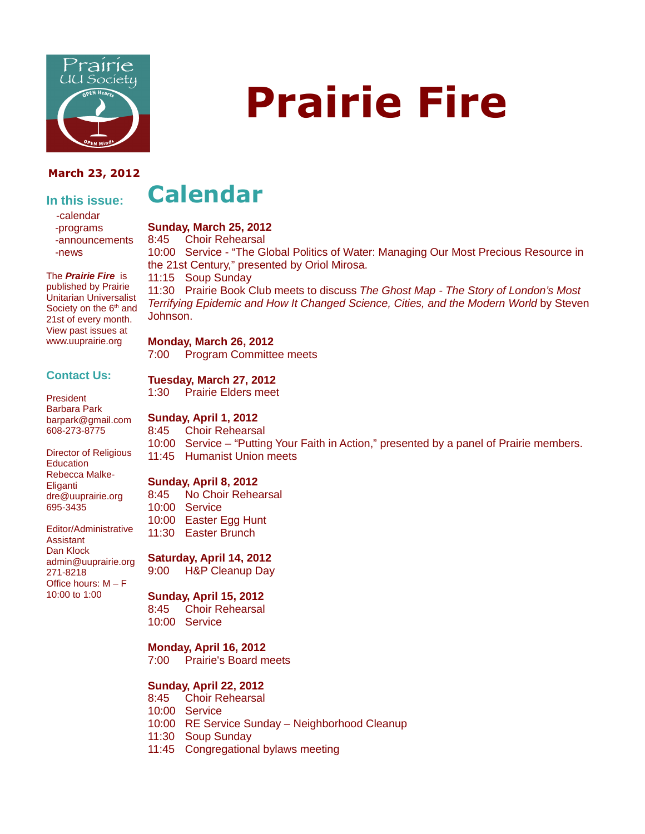

#### **March 23, 2012**

#### **In this issue:**

 -calendar -programs -announcements -news

The **Prairie Fire** is published by Prairie Unitarian Universalist Society on the  $6<sup>th</sup>$  and 21st of every month. View past issues at www.uuprairie.org

#### **Contact Us:**

President Barbara Park barpark@gmail.com 608-273-8775

Director of Religious **Education** Rebecca Malke-Eliganti dre@uuprairie.org 695-3435

Editor/Administrative **Assistant** Dan Klock admin@uuprairie.org 271-8218 Office hours: M – F 10:00 to 1:00

# **Prairie Fire**



#### **Sunday, March 25, 2012**

8:45 Choir Rehearsal

10:00 Service - "The Global Politics of Water: Managing Our Most Precious Resource in the 21st Century," presented by Oriol Mirosa.

11:15 Soup Sunday

11:30 Prairie Book Club meets to discuss The Ghost Map - The Story of London's Most Terrifying Epidemic and How It Changed Science, Cities, and the Modern World by Steven Johnson.

#### **Monday, March 26, 2012**

7:00 Program Committee meets

#### **Tuesday, March 27, 2012**

1:30 Prairie Elders meet

**Sunday, April 1, 2012**

8:45 Choir Rehearsal

10:00 Service – "Putting Your Faith in Action," presented by a panel of Prairie members. 11:45 Humanist Union meets

#### **Sunday, April 8, 2012**

8:45 No Choir Rehearsal

10:00 Service

- 10:00 Easter Egg Hunt
- 11:30 Easter Brunch

#### **Saturday, April 14, 2012**

9:00 H&P Cleanup Day

#### **Sunday, April 15, 2012**

8:45 Choir Rehearsal 10:00 Service

#### **Monday, April 16, 2012**

7:00 Prairie's Board meets

#### **Sunday, April 22, 2012**

8:45 Choir Rehearsal

10:00 Service

- 10:00 RE Service Sunday Neighborhood Cleanup
- 11:30 Soup Sunday
- 11:45 Congregational bylaws meeting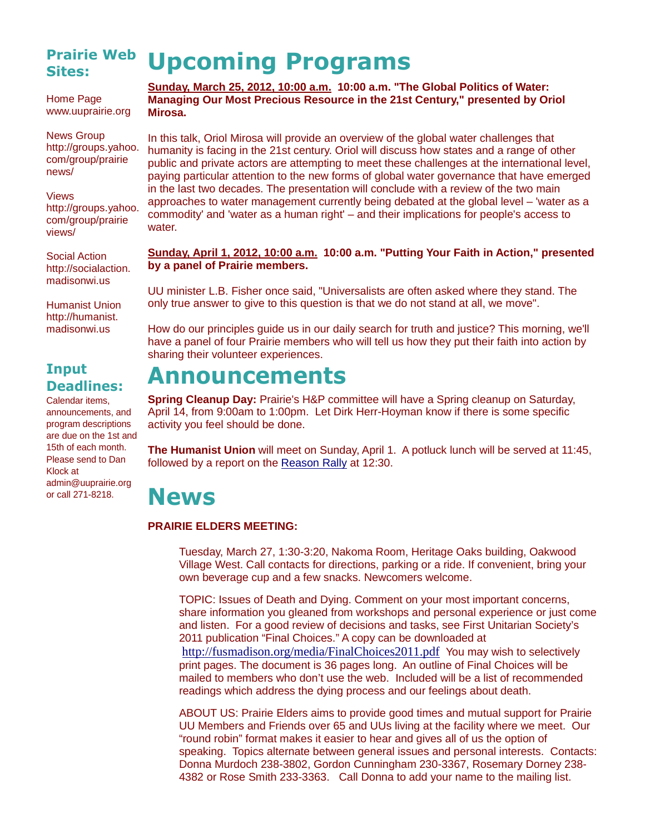#### **Prairie Web Sites: Upcoming Programs**

Home Page www.uuprairie.org

News Group http://groups.yahoo. com/group/prairie news/

Views http://groups.yahoo. com/group/prairie views/

Social Action http://socialaction. madisonwi.us

Humanist Union http://humanist. madisonwi.us

# **Input Deadlines:**

Calendar items, announcements, and program descriptions are due on the 1st and 15th of each month. Please send to Dan Klock at admin@uuprairie.org or call 271-8218.

#### **Sunday, March 25, 2012, 10:00 a.m. 10:00 a.m. "The Global Politics of Water: Managing Our Most Precious Resource in the 21st Century," presented by Oriol Mirosa.**

In this talk, Oriol Mirosa will provide an overview of the global water challenges that humanity is facing in the 21st century. Oriol will discuss how states and a range of other public and private actors are attempting to meet these challenges at the international level, paying particular attention to the new forms of global water governance that have emerged in the last two decades. The presentation will conclude with a review of the two main approaches to water management currently being debated at the global level – 'water as a commodity' and 'water as a human right' – and their implications for people's access to water.

#### **Sunday, April 1, 2012, 10:00 a.m. 10:00 a.m. "Putting Your Faith in Action," presented by a panel of Prairie members.**

UU minister L.B. Fisher once said, "Universalists are often asked where they stand. The only true answer to give to this question is that we do not stand at all, we move".

How do our principles guide us in our daily search for truth and justice? This morning, we'll have a panel of four Prairie members who will tell us how they put their faith into action by sharing their volunteer experiences.

# **Announcements**

**Spring Cleanup Day:** Prairie's H&P committee will have a Spring cleanup on Saturday, April 14, from 9:00am to 1:00pm. Let Dirk Herr-Hoyman know if there is some specific activity you feel should be done.

**The Humanist Union** will meet on Sunday, April 1. A potluck lunch will be served at 11:45, followed by a report on the Reason Rally at 12:30.

# **News**

#### **PRAIRIE ELDERS MEETING:**

Tuesday, March 27, 1:30-3:20, Nakoma Room, Heritage Oaks building, Oakwood Village West. Call contacts for directions, parking or a ride. If convenient, bring your own beverage cup and a few snacks. Newcomers welcome.

TOPIC: Issues of Death and Dying. Comment on your most important concerns, share information you gleaned from workshops and personal experience or just come and listen. For a good review of decisions and tasks, see First Unitarian Society's 2011 publication "Final Choices." A copy can be downloaded at http://fusmadison.org/media/FinalChoices2011.pdf You may wish to selectively print pages. The document is 36 pages long. An outline of Final Choices will be mailed to members who don't use the web. Included will be a list of recommended readings which address the dying process and our feelings about death.

ABOUT US: Prairie Elders aims to provide good times and mutual support for Prairie UU Members and Friends over 65 and UUs living at the facility where we meet. Our "round robin" format makes it easier to hear and gives all of us the option of speaking. Topics alternate between general issues and personal interests. Contacts: Donna Murdoch 238-3802, Gordon Cunningham 230-3367, Rosemary Dorney 238- 4382 or Rose Smith 233-3363. Call Donna to add your name to the mailing list.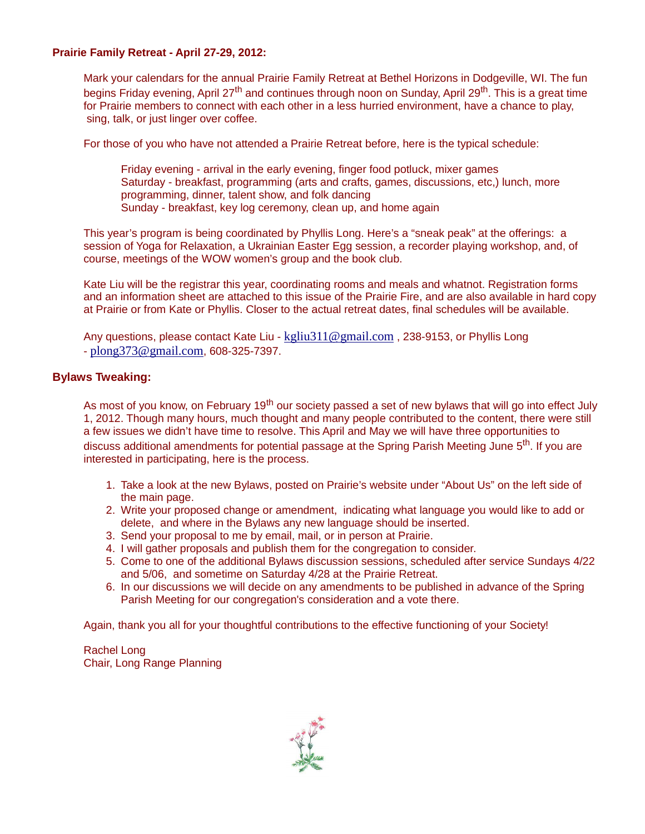#### **Prairie Family Retreat - April 27-29, 2012:**

Mark your calendars for the annual Prairie Family Retreat at Bethel Horizons in Dodgeville, WI. The fun begins Friday evening, April 27<sup>th</sup> and continues through noon on Sunday, April 29<sup>th</sup>. This is a great time for Prairie members to connect with each other in a less hurried environment, have a chance to play, sing, talk, or just linger over coffee.

For those of you who have not attended a Prairie Retreat before, here is the typical schedule:

Friday evening - arrival in the early evening, finger food potluck, mixer games Saturday - breakfast, programming (arts and crafts, games, discussions, etc,) lunch, more programming, dinner, talent show, and folk dancing Sunday - breakfast, key log ceremony, clean up, and home again

This year's program is being coordinated by Phyllis Long. Here's a "sneak peak" at the offerings: a session of Yoga for Relaxation, a Ukrainian Easter Egg session, a recorder playing workshop, and, of course, meetings of the WOW women's group and the book club.

Kate Liu will be the registrar this year, coordinating rooms and meals and whatnot. Registration forms and an information sheet are attached to this issue of the Prairie Fire, and are also available in hard copy at Prairie or from Kate or Phyllis. Closer to the actual retreat dates, final schedules will be available.

Any questions, please contact Kate Liu -  $kgliu311@gmail.com$ , 238-9153, or Phyllis Long - plong373@gmail.com, 608-325-7397.

#### **Bylaws Tweaking:**

As most of you know, on February 19<sup>th</sup> our society passed a set of new bylaws that will go into effect July 1, 2012. Though many hours, much thought and many people contributed to the content, there were still a few issues we didn't have time to resolve. This April and May we will have three opportunities to discuss additional amendments for potential passage at the Spring Parish Meeting June 5<sup>th</sup>. If you are interested in participating, here is the process.

- 1. Take a look at the new Bylaws, posted on Prairie's website under "About Us" on the left side of the main page.
- 2. Write your proposed change or amendment, indicating what language you would like to add or delete, and where in the Bylaws any new language should be inserted.
- 3. Send your proposal to me by email, mail, or in person at Prairie.
- 4. I will gather proposals and publish them for the congregation to consider.
- 5. Come to one of the additional Bylaws discussion sessions, scheduled after service Sundays 4/22 and 5/06, and sometime on Saturday 4/28 at the Prairie Retreat.
- 6. In our discussions we will decide on any amendments to be published in advance of the Spring Parish Meeting for our congregation's consideration and a vote there.

Again, thank you all for your thoughtful contributions to the effective functioning of your Society!

Rachel Long Chair, Long Range Planning

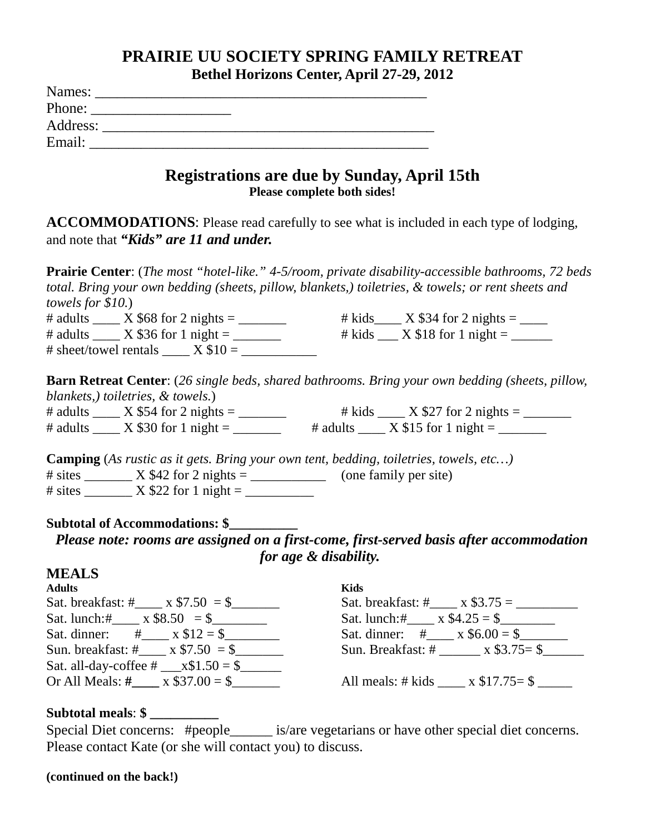# **PRAIRIE UU SOCIETY SPRING FAMILY RETREAT Bethel Horizons Center, April 27-29, 2012**

| Names:   |  |  |
|----------|--|--|
| Phone:   |  |  |
| Address: |  |  |
| Email:   |  |  |

# **Registrations are due by Sunday, April 15th Please complete both sides!**

**ACCOMMODATIONS**: Please read carefully to see what is included in each type of lodging, and note that *"Kids" are 11 and under.*

**Prairie Center**: (*The most "hotel-like." 4-5/room, private disability-accessible bathrooms, 72 beds total. Bring your own bedding (sheets, pillow, blankets,) toiletries, & towels; or rent sheets and towels for \$10.*) # adults \_\_\_\_ X \$68 for 2 nights = \_\_\_\_\_\_\_ # kids\_\_\_\_ X \$34 for 2 nights = \_\_\_\_ # adults \_\_\_\_ X \$36 for 1 night = \_\_\_\_\_\_\_\_ # kids \_\_\_ X \$18 for 1 night = \_\_\_\_\_ # sheet/towel rentals  $\frac{\overline{X} \cdot \$10}{\overline{S}10}$ **Barn Retreat Center**: (*26 single beds, shared bathrooms. Bring your own bedding (sheets, pillow, blankets,) toiletries, & towels.*) # adults \_\_\_\_ X \$54 for 2 nights = \_\_\_\_\_\_\_\_ # kids \_\_\_\_ X \$27 for 2 nights = \_\_\_\_\_ # adults \_\_\_\_ X \$30 for 1 night = \_\_\_\_\_\_\_ # adults \_\_\_\_ X \$15 for 1 night = \_\_\_\_

**Camping** (*As rustic as it gets. Bring your own tent, bedding, toiletries, towels, etc…)* # sites \_\_\_\_\_\_\_\_ X \$42 for 2 nights = \_\_\_\_\_\_\_\_\_\_\_\_\_\_\_ (one family per site) # sites \_\_\_\_\_\_\_ X \$22 for 1 night = \_\_\_\_\_\_\_\_\_\_

## **Subtotal of Accommodations: \$\_\_\_\_\_\_\_\_\_\_**

*Please note: rooms are assigned on a first-come, first-served basis after accommodation for age & disability.* 

# **MEALS**

| <b>Adults</b>                             | <b>Kids</b>                             |
|-------------------------------------------|-----------------------------------------|
| Sat. breakfast: #____ x $$7.50 =$ \$___   | Sat. breakfast: # $\qquad x $3.75 =$    |
| Sat. lunch:#______ x \$8.50 = \$_____     | Sat. lunch:# $x $4.25 = $$              |
| Sat. dinner: # $x $12 = $$                | Sat. dinner: # $x$ \$6.00 = \$          |
| Sun. breakfast: #_____ x $$7.50 = $$      | Sun. Breakfast: # $\angle x$ \$3.75= \$ |
| Sat. all-day-coffee # $\_ x$1.50 = $$     |                                         |
| Or All Meals: #____ x $$37.00 = $$ ______ | All meals: # kids ____ x $$17.75 = $$   |

# **Subtotal meals**: **\$ \_\_\_\_\_\_\_\_\_\_**

Special Diet concerns: #people\_\_\_\_\_\_ is/are vegetarians or have other special diet concerns. Please contact Kate (or she will contact you) to discuss.

**(continued on the back!)**